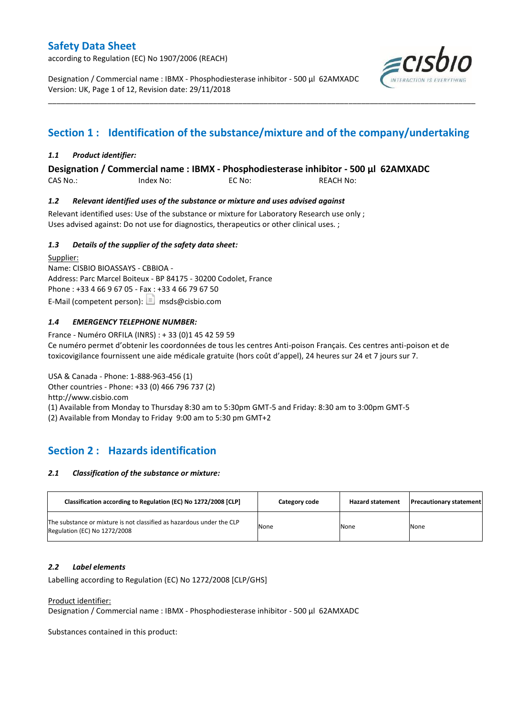according to Regulation (EC) No 1907/2006 (REACH)

Designation / Commercial name : IBMX - Phosphodiesterase inhibitor - 500 µl 62AMXADC Version: UK, Page 1 of 12, Revision date: 29/11/2018



# **Section 1 : Identification of the substance/mixture and of the company/undertaking**

\_\_\_\_\_\_\_\_\_\_\_\_\_\_\_\_\_\_\_\_\_\_\_\_\_\_\_\_\_\_\_\_\_\_\_\_\_\_\_\_\_\_\_\_\_\_\_\_\_\_\_\_\_\_\_\_\_\_\_\_\_\_\_\_\_\_\_\_\_\_\_\_\_\_\_\_\_\_\_\_\_\_\_\_\_\_\_\_\_\_\_\_\_\_\_\_\_\_\_\_\_

### *1.1 Product identifier:*

**Designation / Commercial name : IBMX - Phosphodiesterase inhibitor - 500 µl 62AMXADC** 

CAS No.: Index No: EC No: REACH No:

#### *1.2 Relevant identified uses of the substance or mixture and uses advised against*

Relevant identified uses: Use of the substance or mixture for Laboratory Research use only ; Uses advised against: Do not use for diagnostics, therapeutics or other clinical uses. ;

#### *1.3 Details of the supplier of the safety data sheet:*

Supplier: Name: CISBIO BIOASSAYS - CBBIOA - Address: Parc Marcel Boiteux - BP 84175 - 30200 Codolet, France Phone : +33 4 66 9 67 05 - Fax : +33 4 66 79 67 50 E-Mail (competent person):  $\boxed{\equiv}$  msds@cisbio.com

### *1.4 EMERGENCY TELEPHONE NUMBER:*

France - Numéro ORFILA (INRS) : + 33 (0)1 45 42 59 59 Ce numéro permet d'obtenir les coordonnées de tous les centres Anti-poison Français. Ces centres anti-poison et de toxicovigilance fournissent une aide médicale gratuite (hors coût d'appel), 24 heures sur 24 et 7 jours sur 7.

USA & Canada - Phone: 1-888-963-456 (1) Other countries - Phone: +33 (0) 466 796 737 (2) http://www.cisbio.com (1) Available from Monday to Thursday 8:30 am to 5:30pm GMT-5 and Friday: 8:30 am to 3:00pm GMT-5 (2) Available from Monday to Friday 9:00 am to 5:30 pm GMT+2

## **Section 2 : Hazards identification**

#### *2.1 Classification of the substance or mixture:*

| Classification according to Regulation (EC) No 1272/2008 [CLP]                                        | Category code | <b>Hazard statement</b> | <b>Precautionary statement</b> |
|-------------------------------------------------------------------------------------------------------|---------------|-------------------------|--------------------------------|
| The substance or mixture is not classified as hazardous under the CLP<br>Regulation (EC) No 1272/2008 | None          | None                    | None                           |

#### *2.2 Label elements*

Labelling according to Regulation (EC) No 1272/2008 [CLP/GHS]

#### Product identifier:

Designation / Commercial name : IBMX - Phosphodiesterase inhibitor - 500 µl 62AMXADC

Substances contained in this product: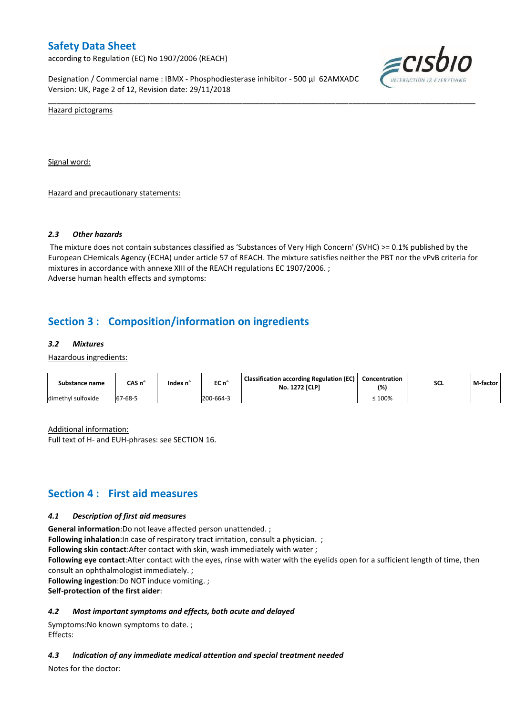according to Regulation (EC) No 1907/2006 (REACH)

Designation / Commercial name : IBMX - Phosphodiesterase inhibitor - 500 µl 62AMXADC Version: UK, Page 2 of 12, Revision date: 29/11/2018



Hazard pictograms

Signal word:

Hazard and precautionary statements:

#### *2.3 Other hazards*

The mixture does not contain substances classified as 'Substances of Very High Concern' (SVHC) >= 0.1% published by the European CHemicals Agency (ECHA) under article 57 of REACH. The mixture satisfies neither the PBT nor the vPvB criteria for mixtures in accordance with annexe XIII of the REACH regulations EC 1907/2006. ; Adverse human health effects and symptoms:

\_\_\_\_\_\_\_\_\_\_\_\_\_\_\_\_\_\_\_\_\_\_\_\_\_\_\_\_\_\_\_\_\_\_\_\_\_\_\_\_\_\_\_\_\_\_\_\_\_\_\_\_\_\_\_\_\_\_\_\_\_\_\_\_\_\_\_\_\_\_\_\_\_\_\_\_\_\_\_\_\_\_\_\_\_\_\_\_\_\_\_\_\_\_\_\_\_\_\_\_\_

## **Section 3 : Composition/information on ingredients**

#### *3.2 Mixtures*

Hazardous ingredients:

| Substance name     | CAS n°  | Index n° | EC n°     | <b>Classification according Regulation (EC)</b><br><b>No. 1272 [CLP]</b> | Concentration<br>(%) | <b>SCL</b> | M-factor |
|--------------------|---------|----------|-----------|--------------------------------------------------------------------------|----------------------|------------|----------|
| dimethyl sulfoxide | 67-68-5 |          | 200-664-3 |                                                                          | 100%                 |            |          |

Additional information:

Full text of H- and EUH-phrases: see SECTION 16.

### **Section 4 : First aid measures**

#### *4.1 Description of first aid measures*

**General information**:Do not leave affected person unattended. ;

**Following inhalation**: In case of respiratory tract irritation, consult a physician. ;

**Following skin contact**:After contact with skin, wash immediately with water ;

**Following eye contact**:After contact with the eyes, rinse with water with the eyelids open for a sufficient length of time, then consult an ophthalmologist immediately. ;

**Following ingestion**:Do NOT induce vomiting. ;

**Self-protection of the first aider**:

#### *4.2 Most important symptoms and effects, both acute and delayed*

Symptoms:No known symptoms to date. ; Effects:

#### *4.3 Indication of any immediate medical attention and special treatment needed*

Notes for the doctor: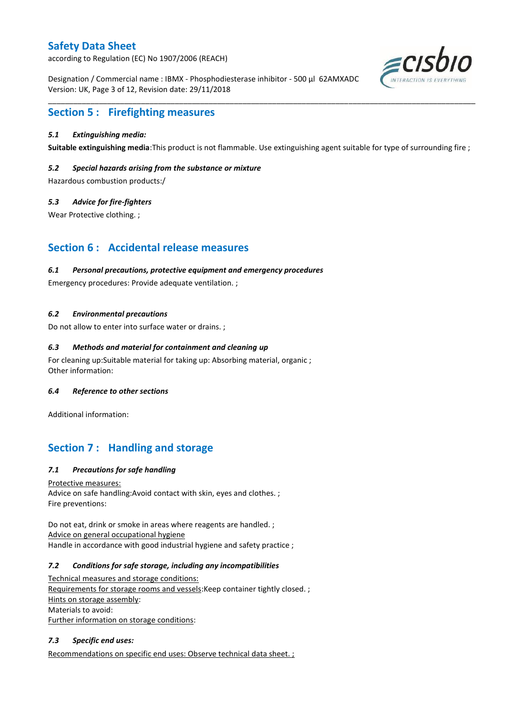according to Regulation (EC) No 1907/2006 (REACH)

Designation / Commercial name : IBMX - Phosphodiesterase inhibitor - 500 µl 62AMXADC Version: UK, Page 3 of 12, Revision date: 29/11/2018



## **Section 5 : Firefighting measures**

### *5.1 Extinguishing media:*

**Suitable extinguishing media**:This product is not flammable. Use extinguishing agent suitable for type of surrounding fire ;

\_\_\_\_\_\_\_\_\_\_\_\_\_\_\_\_\_\_\_\_\_\_\_\_\_\_\_\_\_\_\_\_\_\_\_\_\_\_\_\_\_\_\_\_\_\_\_\_\_\_\_\_\_\_\_\_\_\_\_\_\_\_\_\_\_\_\_\_\_\_\_\_\_\_\_\_\_\_\_\_\_\_\_\_\_\_\_\_\_\_\_\_\_\_\_\_\_\_\_\_\_

#### *5.2 Special hazards arising from the substance or mixture*

Hazardous combustion products:/

#### *5.3 Advice for fire-fighters*

Wear Protective clothing. ;

### **Section 6 : Accidental release measures**

#### *6.1 Personal precautions, protective equipment and emergency procedures*

Emergency procedures: Provide adequate ventilation. ;

#### *6.2 Environmental precautions*

Do not allow to enter into surface water or drains. ;

#### *6.3 Methods and material for containment and cleaning up*

For cleaning up:Suitable material for taking up: Absorbing material, organic ; Other information:

#### *6.4 Reference to other sections*

Additional information:

### **Section 7 : Handling and storage**

### *7.1 Precautions for safe handling*

Protective measures: Advice on safe handling:Avoid contact with skin, eyes and clothes. ; Fire preventions:

Do not eat, drink or smoke in areas where reagents are handled. ; Advice on general occupational hygiene Handle in accordance with good industrial hygiene and safety practice ;

#### *7.2 Conditions for safe storage, including any incompatibilities*

Technical measures and storage conditions: Requirements for storage rooms and vessels: Keep container tightly closed. ; Hints on storage assembly: Materials to avoid: Further information on storage conditions:

#### *7.3 Specific end uses:*

Recommendations on specific end uses: Observe technical data sheet. ;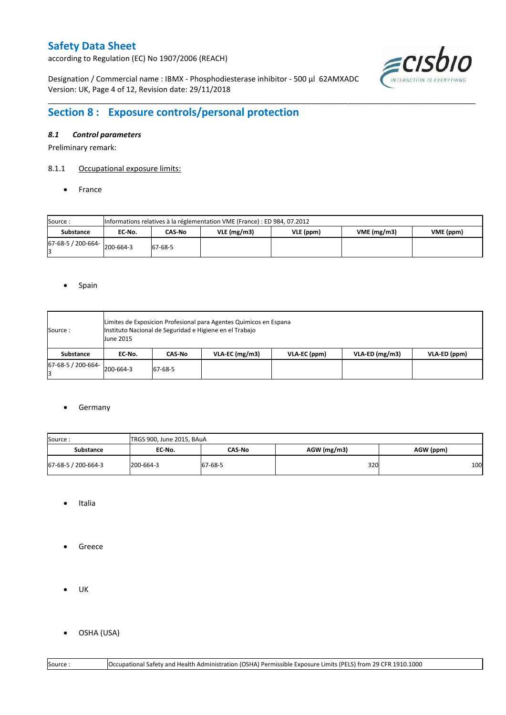according to Regulation (EC) No 1907/2006 (REACH)

Designation / Commercial name : IBMX - Phosphodiesterase inhibitor - 500 µl 62AMXADC Version: UK, Page 4 of 12, Revision date: 29/11/2018



# **Section 8 : Exposure controls/personal protection**

### *8.1 Control parameters*

Preliminary remark:

#### 8.1.1 Occupational exposure limits:

• France

| Source:            |           | Informations relatives à la réglementation VME (France) : ED 984, 07.2012 |  |  |  |  |  |  |  |  |  |  |  |
|--------------------|-----------|---------------------------------------------------------------------------|--|--|--|--|--|--|--|--|--|--|--|
| <b>Substance</b>   | EC No.    | VME(mg/m3)<br>$VLE$ (mg/m3)<br>VME (ppm)<br>VLE (ppm)<br>CAS-No           |  |  |  |  |  |  |  |  |  |  |  |
| 67-68-5 / 200-664- | 200-664-3 | 67-68-5                                                                   |  |  |  |  |  |  |  |  |  |  |  |

\_\_\_\_\_\_\_\_\_\_\_\_\_\_\_\_\_\_\_\_\_\_\_\_\_\_\_\_\_\_\_\_\_\_\_\_\_\_\_\_\_\_\_\_\_\_\_\_\_\_\_\_\_\_\_\_\_\_\_\_\_\_\_\_\_\_\_\_\_\_\_\_\_\_\_\_\_\_\_\_\_\_\_\_\_\_\_\_\_\_\_\_\_\_\_\_\_\_\_\_\_

#### • Spain

| Source :                    | <b>June 2015</b> |         | Limites de Exposicion Profesional para Agentes Quimicos en Espana<br>Instituto Nacional de Seguridad e Higiene en el Trabajo |              |                  |              |  |  |  |  |  |  |
|-----------------------------|------------------|---------|------------------------------------------------------------------------------------------------------------------------------|--------------|------------------|--------------|--|--|--|--|--|--|
| Substance                   | EC No.           | CAS-No  | $VLA-EC$ (mg/m3)                                                                                                             | VLA-EC (ppm) | $VLA-ED$ (mg/m3) | VLA-ED (ppm) |  |  |  |  |  |  |
| $67-68-5/200-664$ 200-664-3 |                  | 67-68-5 |                                                                                                                              |              |                  |              |  |  |  |  |  |  |

#### **•** Germany

| Source:             | TRGS 900, June 2015, BAuA |         |             |           |
|---------------------|---------------------------|---------|-------------|-----------|
| EC No.<br>Substance |                           | CAS-No  | AGW (mg/m3) | AGW (ppm) |
| 67-68-5 / 200-664-3 | 200-664-3                 | 67-68-5 | 320         | 100       |

- Italia
- **•** Greece
- $\bullet$  UK
- OSHA (USA)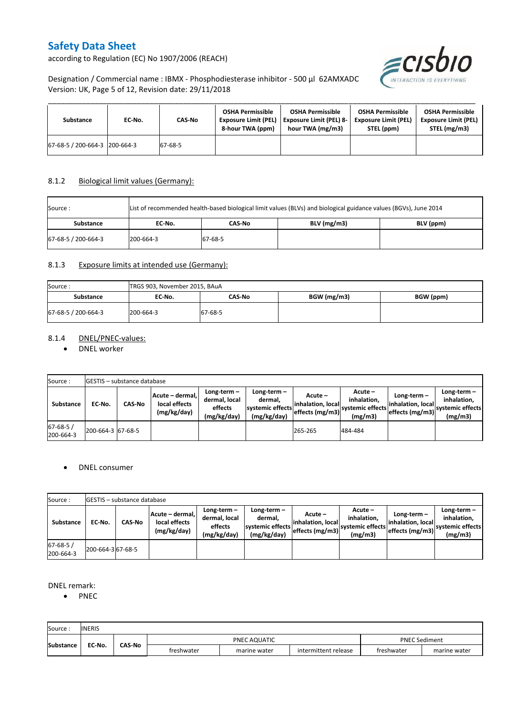according to Regulation (EC) No 1907/2006 (REACH)



Designation / Commercial name : IBMX - Phosphodiesterase inhibitor - 500 µl 62AMXADC Version: UK, Page 5 of 12, Revision date: 29/11/2018

| Substance                     | EC-No. | CAS-No  | <b>OSHA Permissible</b><br><b>Exposure Limit (PEL)</b><br>8-hour TWA (ppm) | <b>OSHA Permissible</b><br><b>Exposure Limit (PEL) 8-</b><br>hour TWA (mg/m3) | <b>OSHA Permissible</b><br><b>Exposure Limit (PEL)</b><br>STEL (ppm) | <b>OSHA Permissible</b><br><b>Exposure Limit (PEL)</b><br>STEL (mg/m3) |
|-------------------------------|--------|---------|----------------------------------------------------------------------------|-------------------------------------------------------------------------------|----------------------------------------------------------------------|------------------------------------------------------------------------|
| 67-68-5 / 200-664-3 200-664-3 |        | 67-68-5 |                                                                            |                                                                               |                                                                      |                                                                        |

### 8.1.2 Biological limit values (Germany):

| Source :            |           | List of recommended health-based biological limit values (BLVs) and biological guidance values (BGVs), June 2014 |               |           |  |  |  |  |  |  |  |  |
|---------------------|-----------|------------------------------------------------------------------------------------------------------------------|---------------|-----------|--|--|--|--|--|--|--|--|
| <b>Substance</b>    | EC No.    | CAS-No                                                                                                           | $BLV$ (mg/m3) | BLV (ppm) |  |  |  |  |  |  |  |  |
| 67-68-5 / 200-664-3 | 200-664-3 | 67-68-5                                                                                                          |               |           |  |  |  |  |  |  |  |  |

### 8.1.3 Exposure limits at intended use (Germany):

| Source:             | TRGS 903, November 2015, BAuA |         |             |           |  |  |  |  |  |
|---------------------|-------------------------------|---------|-------------|-----------|--|--|--|--|--|
| Substance           | EC-No.                        | CAS-No  | BGW (mg/m3) | BGW (ppm) |  |  |  |  |  |
| 67-68-5 / 200-664-3 | 200-664-3                     | 67-68-5 |             |           |  |  |  |  |  |

### 8.1.4 DNEL/PNEC-values:

• DNEL worker

| Source:                     |                   | <b>IGESTIS – substance database</b>                              |  |                                                       |                                                                              |         |                                                                                                                                         |  |                                                             |  |  |  |  |  |
|-----------------------------|-------------------|------------------------------------------------------------------|--|-------------------------------------------------------|------------------------------------------------------------------------------|---------|-----------------------------------------------------------------------------------------------------------------------------------------|--|-------------------------------------------------------------|--|--|--|--|--|
| Substance                   | EC-No.            | Acute - dermal,<br><b>CAS-No</b><br>local effects<br>(mg/kg/day) |  | Long-term-<br>dermal, local<br>effects<br>(mg/kg/day) | Long-term –<br>dermal.<br>systemic effects<br>effects (mg/m3)<br>(mg/kg/day) |         | $Acute -$<br>Long-term $-$<br>inhalation.<br>inhalation, local<br>linhalation. locall<br>systemic effects<br>effects (mg/m3)<br>(mg/m3) |  | $Long-term -$<br>inhalation.<br>systemic effects<br>(mg/m3) |  |  |  |  |  |
| $67 - 68 - 5/$<br>200-664-3 | 200-664-3 67-68-5 |                                                                  |  |                                                       |                                                                              | 265-265 | 484-484                                                                                                                                 |  |                                                             |  |  |  |  |  |

#### DNEL consumer

| Source:                    |                   | <b>GESTIS</b> – substance database |                                                  |                                                                                                                      |  |                                                  |                                                       |                                                    |                                                             |
|----------------------------|-------------------|------------------------------------|--------------------------------------------------|----------------------------------------------------------------------------------------------------------------------|--|--------------------------------------------------|-------------------------------------------------------|----------------------------------------------------|-------------------------------------------------------------|
| <b>Substance</b>           | EC No.            | CAS No                             | Acute – dermal. <br>local effects<br>(mg/kg/day) | Long-term-<br>Long-term $-$<br>dermal, local<br>dermal.<br>systemic effects<br>effects<br>(mg/kg/day)<br>(mg/kg/day) |  | Acute –<br>linhalation. local<br>effects (mg/m3) | Acute -<br>inhalation.<br>systemic effects<br>(mg/m3) | Long-term-<br>inhalation. local<br>effects (mg/m3) | Long-term $-$<br>inhalation.<br>systemic effects<br>(mg/m3) |
| $67 - 68 - 5$<br>200-664-3 | 200-664-3 67-68-5 |                                    |                                                  |                                                                                                                      |  |                                                  |                                                       |                                                    |                                                             |

### DNEL remark:

• PNEC

| Source           | <b>INERIS</b> |               |            |              |                      |            |              |
|------------------|---------------|---------------|------------|--------------|----------------------|------------|--------------|
| <b>Substance</b> | EC-No.        | <b>CAS-No</b> |            | PNEC AQUATIC | <b>PNEC Sediment</b> |            |              |
|                  |               |               | freshwater | marine water | intermittent release | freshwater | marine water |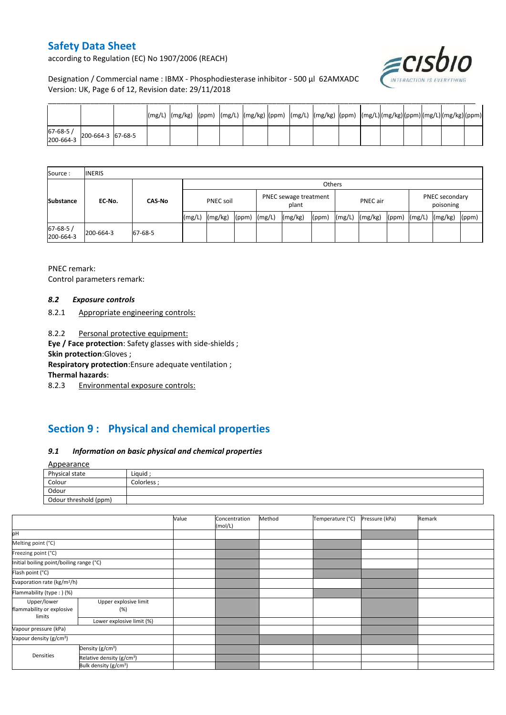according to Regulation (EC) No 1907/2006 (REACH)



Designation / Commercial name : IBMX - Phosphodiesterase inhibitor - 500 µl 62AMXADC Version: UK, Page 6 of 12, Revision date: 29/11/2018

| 67-68-5 /<br>200-664-3 | 200-664-3 67-68-5 |  |  |  |  |  |  |  |  |
|------------------------|-------------------|--|--|--|--|--|--|--|--|

| Source:                     | <b>INERIS</b> |               |                  |         |                                |        |                 |       |                             |         |       |        |         |       |
|-----------------------------|---------------|---------------|------------------|---------|--------------------------------|--------|-----------------|-------|-----------------------------|---------|-------|--------|---------|-------|
|                             | EC-No.        | <b>CAS-No</b> | Others           |         |                                |        |                 |       |                             |         |       |        |         |       |
| <b>Substance</b>            |               |               | <b>PNEC soil</b> |         | PNEC sewage treatment<br>plant |        | <b>PNEC</b> air |       | PNEC secondary<br>poisoning |         |       |        |         |       |
|                             |               |               | (mg/L)           | (mg/kg) | (ppm)                          | (mg/L) | (mg/kg)         | (ppm) | (mg/L)                      | (mg/kg) | (ppm) | (mg/L) | (mg/kg) | (ppm) |
| $67 - 68 - 5/$<br>200-664-3 | 200-664-3     | 67-68-5       |                  |         |                                |        |                 |       |                             |         |       |        |         |       |

PNEC remark: Control parameters remark:

#### *8.2 Exposure controls*

8.2.1 Appropriate engineering controls:

8.2.2 Personal protective equipment:

**Eye / Face protection**: Safety glasses with side-shields ;

**Skin protection**:Gloves ;

**Respiratory protection**:Ensure adequate ventilation ;

**Thermal hazards**:

8.2.3 Environmental exposure controls:

# **Section 9 : Physical and chemical properties**

### *9.1 Information on basic physical and chemical properties*

**A**nnearance

| 1.1                   |            |
|-----------------------|------------|
| Physical state        | Liquid ;   |
| Colour                | Colorless: |
| Odour                 |            |
| Odour threshold (ppm) |            |

|                                                    |                                       | Value | Concentration<br>(mol/L) | Method | Temperature (°C) | Pressure (kPa) | Remark |
|----------------------------------------------------|---------------------------------------|-------|--------------------------|--------|------------------|----------------|--------|
| pH                                                 |                                       |       |                          |        |                  |                |        |
| Melting point (°C)                                 |                                       |       |                          |        |                  |                |        |
| Freezing point (°C)                                |                                       |       |                          |        |                  |                |        |
| Initial boiling point/boiling range (°C)           |                                       |       |                          |        |                  |                |        |
| Flash point (°C)                                   |                                       |       |                          |        |                  |                |        |
| Evaporation rate (kg/m <sup>2</sup> /h)            |                                       |       |                          |        |                  |                |        |
| Flammability (type:) (%)                           |                                       |       |                          |        |                  |                |        |
| Upper/lower<br>flammability or explosive<br>limits | Upper explosive limit<br>(%)          |       |                          |        |                  |                |        |
|                                                    | Lower explosive limit (%)             |       |                          |        |                  |                |        |
| Vapour pressure (kPa)                              |                                       |       |                          |        |                  |                |        |
| Vapour density (g/cm <sup>3</sup> )                |                                       |       |                          |        |                  |                |        |
| Densities                                          | Density (g/cm <sup>3</sup> )          |       |                          |        |                  |                |        |
|                                                    | Relative density (g/cm <sup>3</sup> ) |       |                          |        |                  |                |        |
|                                                    | Bulk density (g/cm <sup>3</sup> )     |       |                          |        |                  |                |        |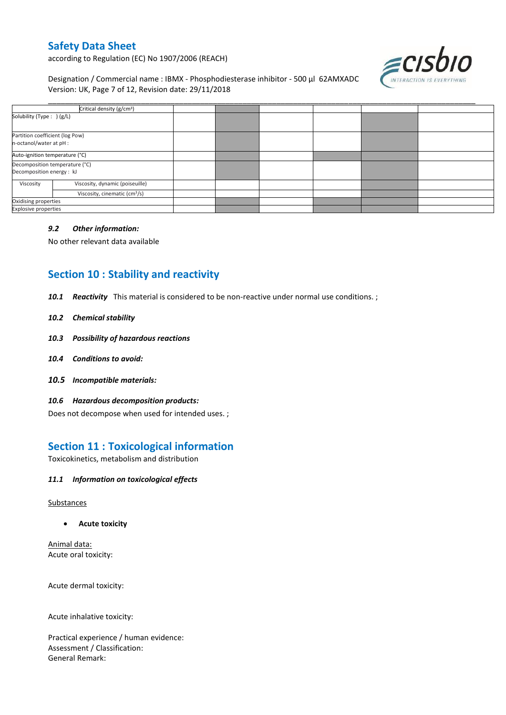according to Regulation (EC) No 1907/2006 (REACH)

Designation / Commercial name : IBMX - Phosphodiesterase inhibitor - 500 µl 62AMXADC Version: UK, Page 7 of 12, Revision date: 29/11/2018



| Critical density (g/cm <sup>3</sup> )                       |                                           |  |  |  |
|-------------------------------------------------------------|-------------------------------------------|--|--|--|
| Solubility (Type: ) (g/L)                                   |                                           |  |  |  |
| Partition coefficient (log Pow)<br>n-octanol/water at pH :  |                                           |  |  |  |
| Auto-ignition temperature (°C)                              |                                           |  |  |  |
| Decomposition temperature (°C)<br>Decomposition energy : kJ |                                           |  |  |  |
| Viscosity                                                   | Viscosity, dynamic (poiseuille)           |  |  |  |
|                                                             | Viscosity, cinematic (cm <sup>3</sup> /s) |  |  |  |
| Oxidising properties                                        |                                           |  |  |  |
| <b>Explosive properties</b>                                 |                                           |  |  |  |

#### *9.2 Other information:*

No other relevant data available

# **Section 10 : Stability and reactivity**

*10.1 Reactivity* This material is considered to be non-reactive under normal use conditions. ;

#### *10.2 Chemical stability*

- *10.3 Possibility of hazardous reactions*
- *10.4 Conditions to avoid:*
- *10.5 Incompatible materials:*
- *10.6 Hazardous decomposition products:*

Does not decompose when used for intended uses. ;

## **Section 11 : Toxicological information**

Toxicokinetics, metabolism and distribution

### *11.1 Information on toxicological effects*

#### **Substances**

**Acute toxicity**

Animal data: Acute oral toxicity:

Acute dermal toxicity:

Acute inhalative toxicity:

Practical experience / human evidence: Assessment / Classification: General Remark: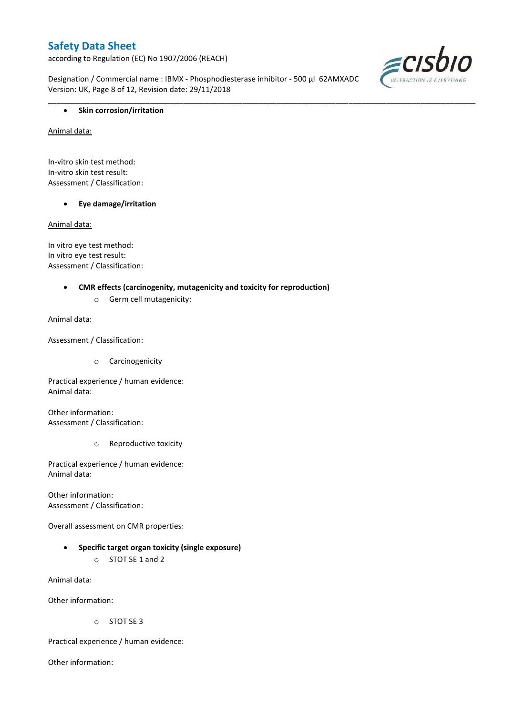according to Regulation (EC) No 1907/2006 (REACH)

Designation / Commercial name : IBMX - Phosphodiesterase inhibitor - 500 µl 62AMXADC Version: UK, Page 8 of 12, Revision date: 29/11/2018

\_\_\_\_\_\_\_\_\_\_\_\_\_\_\_\_\_\_\_\_\_\_\_\_\_\_\_\_\_\_\_\_\_\_\_\_\_\_\_\_\_\_\_\_\_\_\_\_\_\_\_\_\_\_\_\_\_\_\_\_\_\_\_\_\_\_\_\_\_\_\_\_\_\_\_\_\_\_\_\_\_\_\_\_\_\_\_\_\_\_\_\_\_\_\_\_\_\_\_\_\_



### **•** Skin corrosion/irritation

Animal data:

In-vitro skin test method: In-vitro skin test result: Assessment / Classification:

**Eye damage/irritation**

Animal data:

In vitro eye test method: In vitro eye test result: Assessment / Classification:

#### **CMR effects (carcinogenity, mutagenicity and toxicity for reproduction)**

o Germ cell mutagenicity:

Animal data:

Assessment / Classification:

o Carcinogenicity

Practical experience / human evidence: Animal data:

Other information: Assessment / Classification:

o Reproductive toxicity

Practical experience / human evidence: Animal data:

Other information: Assessment / Classification:

Overall assessment on CMR properties:

- **Specific target organ toxicity (single exposure)**
	- o STOT SE 1 and 2

Animal data:

Other information:

o STOT SE 3

Practical experience / human evidence:

Other information: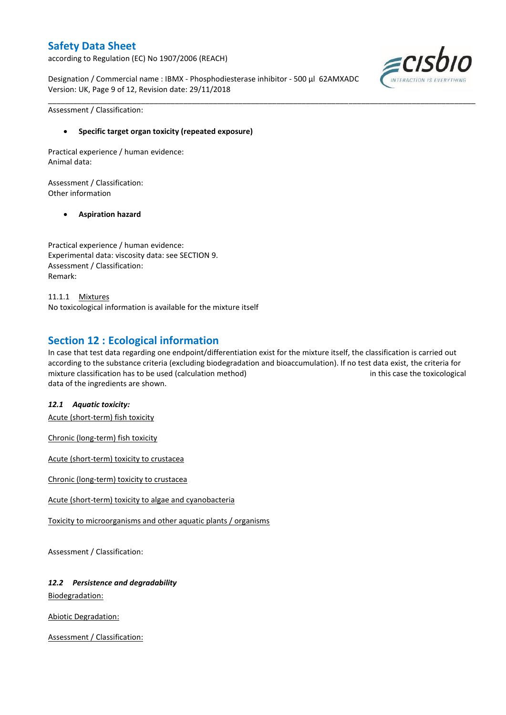according to Regulation (EC) No 1907/2006 (REACH)

Designation / Commercial name : IBMX - Phosphodiesterase inhibitor - 500 µl 62AMXADC Version: UK, Page 9 of 12, Revision date: 29/11/2018



Assessment / Classification:

### **Specific target organ toxicity (repeated exposure)**

Practical experience / human evidence: Animal data:

Assessment / Classification: Other information

#### **Aspiration hazard**

Practical experience / human evidence: Experimental data: viscosity data: see SECTION 9. Assessment / Classification: Remark:

11.1.1 Mixtures No toxicological information is available for the mixture itself

### **Section 12 : Ecological information**

In case that test data regarding one endpoint/differentiation exist for the mixture itself, the classification is carried out according to the substance criteria (excluding biodegradation and bioaccumulation). If no test data exist, the criteria for mixture classification has to be used (calculation method) in this case the toxicological data of the ingredients are shown.

\_\_\_\_\_\_\_\_\_\_\_\_\_\_\_\_\_\_\_\_\_\_\_\_\_\_\_\_\_\_\_\_\_\_\_\_\_\_\_\_\_\_\_\_\_\_\_\_\_\_\_\_\_\_\_\_\_\_\_\_\_\_\_\_\_\_\_\_\_\_\_\_\_\_\_\_\_\_\_\_\_\_\_\_\_\_\_\_\_\_\_\_\_\_\_\_\_\_\_\_\_

#### *12.1 Aquatic toxicity:*

Acute (short-term) fish toxicity

Chronic (long-term) fish toxicity

Acute (short-term) toxicity to crustacea

Chronic (long-term) toxicity to crustacea

Acute (short-term) toxicity to algae and cyanobacteria

Toxicity to microorganisms and other aquatic plants / organisms

Assessment / Classification:

### *12.2 Persistence and degradability*

Biodegradation:

Abiotic Degradation:

Assessment / Classification: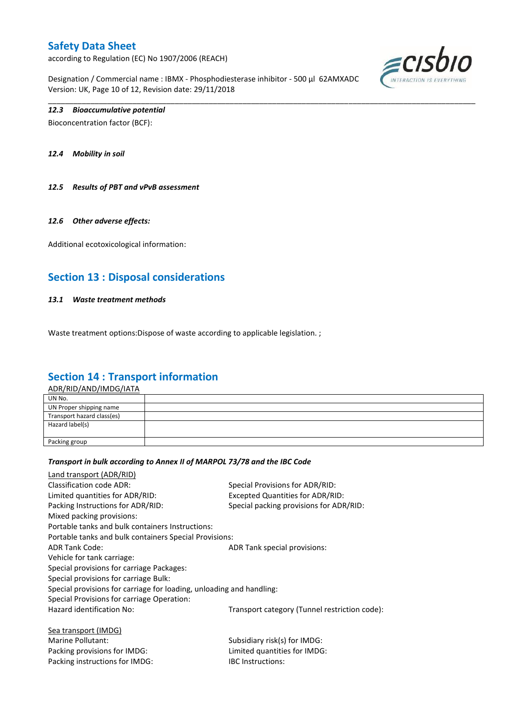according to Regulation (EC) No 1907/2006 (REACH)

Designation / Commercial name : IBMX - Phosphodiesterase inhibitor - 500 µl 62AMXADC Version: UK, Page 10 of 12, Revision date: 29/11/2018

\_\_\_\_\_\_\_\_\_\_\_\_\_\_\_\_\_\_\_\_\_\_\_\_\_\_\_\_\_\_\_\_\_\_\_\_\_\_\_\_\_\_\_\_\_\_\_\_\_\_\_\_\_\_\_\_\_\_\_\_\_\_\_\_\_\_\_\_\_\_\_\_\_\_\_\_\_\_\_\_\_\_\_\_\_\_\_\_\_\_\_\_\_\_\_\_\_\_\_\_\_



### *12.3 Bioaccumulative potential*

Bioconcentration factor (BCF):

*12.4 Mobility in soil*

*12.5 Results of PBT and vPvB assessment*

#### *12.6 Other adverse effects:*

Additional ecotoxicological information:

## **Section 13 : Disposal considerations**

#### *13.1 Waste treatment methods*

Waste treatment options: Dispose of waste according to applicable legislation. ;

### **Section 14 : Transport information**

ADR/RID/AND/IMDG/IATA

| UN No.                     |  |
|----------------------------|--|
| UN Proper shipping name    |  |
| Transport hazard class(es) |  |
| Hazard label(s)            |  |
|                            |  |
| Packing group              |  |
|                            |  |

#### *Transport in bulk according to Annex II of MARPOL 73/78 and the IBC Code*

Packing instructions for IMDG: IBC Instructions:

| Land transport (ADR/RID)                                             |                                               |
|----------------------------------------------------------------------|-----------------------------------------------|
| Classification code ADR:                                             | Special Provisions for ADR/RID:               |
| Limited quantities for ADR/RID:                                      | <b>Excepted Quantities for ADR/RID:</b>       |
| Packing Instructions for ADR/RID:                                    | Special packing provisions for ADR/RID:       |
| Mixed packing provisions:                                            |                                               |
| Portable tanks and bulk containers Instructions:                     |                                               |
| Portable tanks and bulk containers Special Provisions:               |                                               |
| <b>ADR Tank Code:</b>                                                | ADR Tank special provisions:                  |
| Vehicle for tank carriage:                                           |                                               |
| Special provisions for carriage Packages:                            |                                               |
| Special provisions for carriage Bulk:                                |                                               |
| Special provisions for carriage for loading, unloading and handling: |                                               |
| Special Provisions for carriage Operation:                           |                                               |
| Hazard identification No:                                            | Transport category (Tunnel restriction code): |
| Sea transport (IMDG)                                                 |                                               |
| Marine Pollutant:                                                    | Subsidiary risk(s) for IMDG:                  |
| Packing provisions for IMDG:                                         | Limited quantities for IMDG:                  |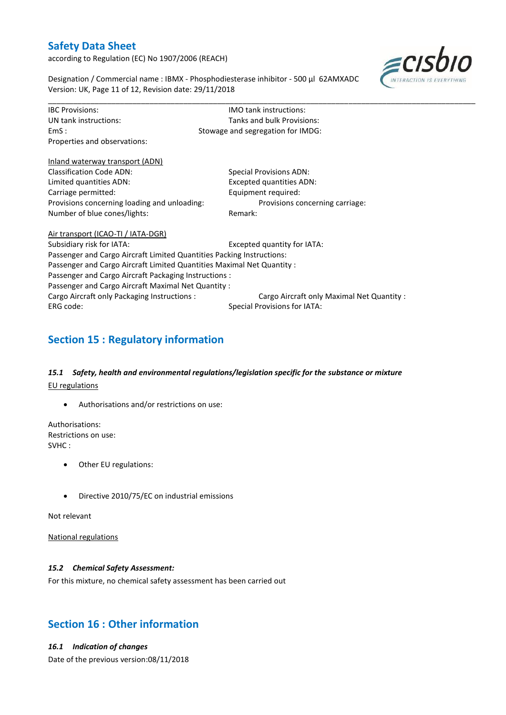according to Regulation (EC) No 1907/2006 (REACH)



Designation / Commercial name : IBMX - Phosphodiesterase inhibitor - 500 µl 62AMXADC Version: UK, Page 11 of 12, Revision date: 29/11/2018

| <b>IBC Provisions:</b>                                                 | <b>IMO</b> tank instructions:              |  |  |  |  |
|------------------------------------------------------------------------|--------------------------------------------|--|--|--|--|
| UN tank instructions:                                                  | Tanks and bulk Provisions:                 |  |  |  |  |
| EmS:                                                                   | Stowage and segregation for IMDG:          |  |  |  |  |
| Properties and observations:                                           |                                            |  |  |  |  |
| Inland waterway transport (ADN)                                        |                                            |  |  |  |  |
| <b>Classification Code ADN:</b>                                        | Special Provisions ADN:                    |  |  |  |  |
| Limited quantities ADN:                                                | <b>Excepted quantities ADN:</b>            |  |  |  |  |
| Carriage permitted:                                                    | Equipment required:                        |  |  |  |  |
| Provisions concerning loading and unloading:                           | Provisions concerning carriage:            |  |  |  |  |
| Number of blue cones/lights:                                           | Remark:                                    |  |  |  |  |
| Air transport (ICAO-TI / IATA-DGR)                                     |                                            |  |  |  |  |
| Subsidiary risk for IATA:                                              | Excepted quantity for IATA:                |  |  |  |  |
| Passenger and Cargo Aircraft Limited Quantities Packing Instructions:  |                                            |  |  |  |  |
| Passenger and Cargo Aircraft Limited Quantities Maximal Net Quantity : |                                            |  |  |  |  |
| Passenger and Cargo Aircraft Packaging Instructions :                  |                                            |  |  |  |  |
| Passenger and Cargo Aircraft Maximal Net Quantity:                     |                                            |  |  |  |  |
| Cargo Aircraft only Packaging Instructions :                           | Cargo Aircraft only Maximal Net Quantity : |  |  |  |  |
| ERG code:                                                              | <b>Special Provisions for IATA:</b>        |  |  |  |  |

\_\_\_\_\_\_\_\_\_\_\_\_\_\_\_\_\_\_\_\_\_\_\_\_\_\_\_\_\_\_\_\_\_\_\_\_\_\_\_\_\_\_\_\_\_\_\_\_\_\_\_\_\_\_\_\_\_\_\_\_\_\_\_\_\_\_\_\_\_\_\_\_\_\_\_\_\_\_\_\_\_\_\_\_\_\_\_\_\_\_\_\_\_\_\_\_\_\_\_\_\_

# **Section 15 : Regulatory information**

### *15.1 Safety, health and environmental regulations/legislation specific for the substance or mixture* EU regulations

Authorisations and/or restrictions on use:

Authorisations: Restrictions on use: SVHC :

- Other EU regulations:
- Directive 2010/75/EC on industrial emissions

Not relevant

National regulations

### *15.2 Chemical Safety Assessment:*

For this mixture, no chemical safety assessment has been carried out

## **Section 16 : Other information**

#### *16.1 Indication of changes*

Date of the previous version:08/11/2018